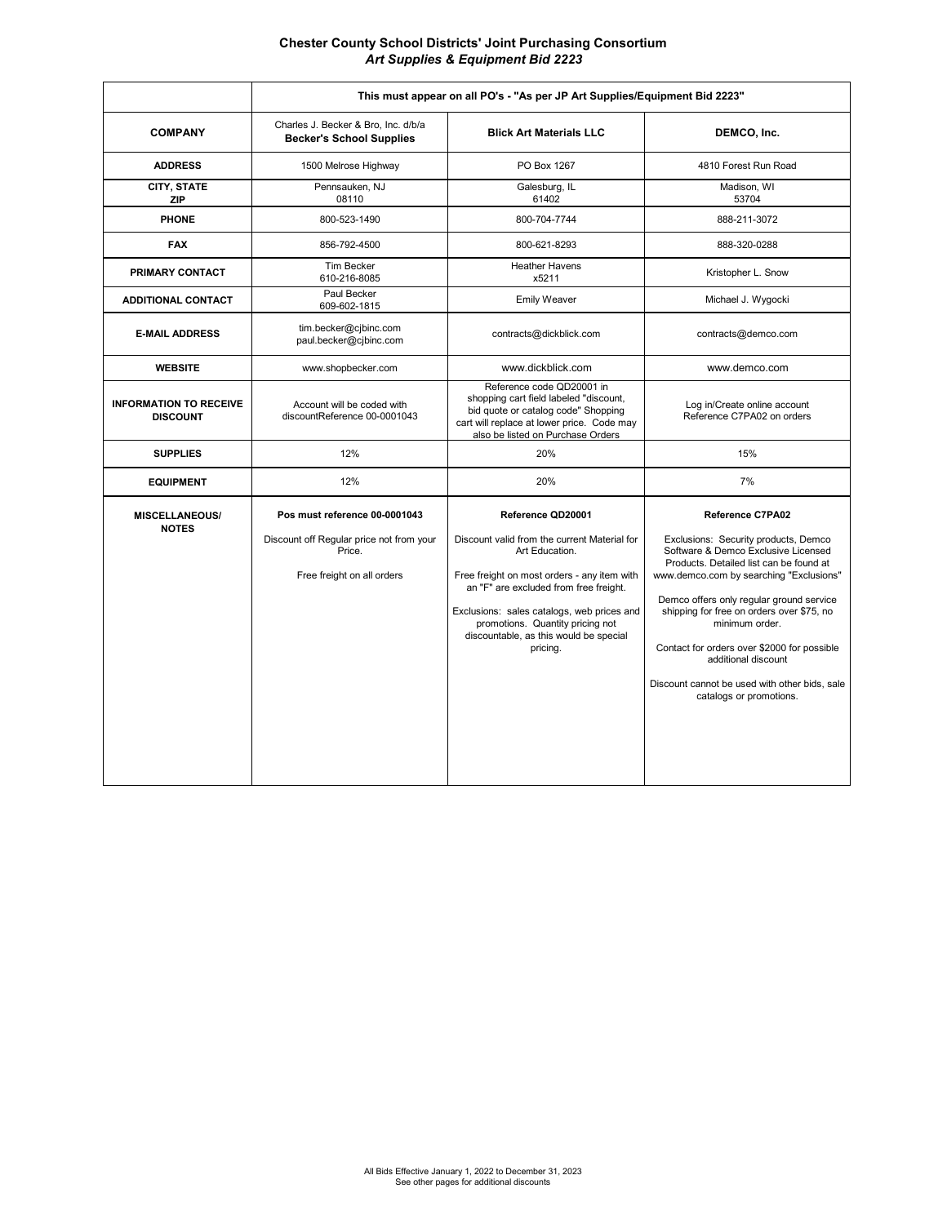**Chester County School Districts' Joint Purchasing Consortium**  *Art Supplies & Equipment Bid 2223*

|                                                  | This must appear on all PO's - "As per JP Art Supplies/Equipment Bid 2223"                                        |                                                                                                                                                                                                                                                                                                                      |                                                                                                                                                                                                                                                                                                                                                                                                                                                           |
|--------------------------------------------------|-------------------------------------------------------------------------------------------------------------------|----------------------------------------------------------------------------------------------------------------------------------------------------------------------------------------------------------------------------------------------------------------------------------------------------------------------|-----------------------------------------------------------------------------------------------------------------------------------------------------------------------------------------------------------------------------------------------------------------------------------------------------------------------------------------------------------------------------------------------------------------------------------------------------------|
| <b>COMPANY</b>                                   | Charles J. Becker & Bro, Inc. d/b/a<br><b>Becker's School Supplies</b>                                            | <b>Blick Art Materials LLC</b>                                                                                                                                                                                                                                                                                       | DEMCO, Inc.                                                                                                                                                                                                                                                                                                                                                                                                                                               |
| <b>ADDRESS</b>                                   | 1500 Melrose Highway                                                                                              | PO Box 1267                                                                                                                                                                                                                                                                                                          | 4810 Forest Run Road                                                                                                                                                                                                                                                                                                                                                                                                                                      |
| CITY, STATE<br><b>ZIP</b>                        | Pennsauken, NJ<br>08110                                                                                           | Galesburg, IL<br>61402                                                                                                                                                                                                                                                                                               | Madison, WI<br>53704                                                                                                                                                                                                                                                                                                                                                                                                                                      |
| <b>PHONE</b>                                     | 800-523-1490                                                                                                      | 800-704-7744                                                                                                                                                                                                                                                                                                         | 888-211-3072                                                                                                                                                                                                                                                                                                                                                                                                                                              |
| <b>FAX</b>                                       | 856-792-4500                                                                                                      | 800-621-8293                                                                                                                                                                                                                                                                                                         | 888-320-0288                                                                                                                                                                                                                                                                                                                                                                                                                                              |
| PRIMARY CONTACT                                  | <b>Tim Becker</b><br>610-216-8085                                                                                 | <b>Heather Havens</b><br>x5211                                                                                                                                                                                                                                                                                       | Kristopher L. Snow                                                                                                                                                                                                                                                                                                                                                                                                                                        |
| <b>ADDITIONAL CONTACT</b>                        | Paul Becker<br>609-602-1815                                                                                       | <b>Emily Weaver</b>                                                                                                                                                                                                                                                                                                  | Michael J. Wygocki                                                                                                                                                                                                                                                                                                                                                                                                                                        |
| <b>E-MAIL ADDRESS</b>                            | tim.becker@cjbinc.com<br>paul.becker@cjbinc.com                                                                   | contracts@dickblick.com                                                                                                                                                                                                                                                                                              | contracts@demco.com                                                                                                                                                                                                                                                                                                                                                                                                                                       |
| <b>WEBSITE</b>                                   | www.shopbecker.com                                                                                                | www.dickblick.com                                                                                                                                                                                                                                                                                                    | www.demco.com                                                                                                                                                                                                                                                                                                                                                                                                                                             |
| <b>INFORMATION TO RECEIVE</b><br><b>DISCOUNT</b> | Account will be coded with<br>discountReference 00-0001043                                                        | Reference code QD20001 in<br>shopping cart field labeled "discount,<br>bid quote or catalog code" Shopping<br>cart will replace at lower price. Code may<br>also be listed on Purchase Orders                                                                                                                        | Log in/Create online account<br>Reference C7PA02 on orders                                                                                                                                                                                                                                                                                                                                                                                                |
| <b>SUPPLIES</b>                                  | 12%                                                                                                               | 20%                                                                                                                                                                                                                                                                                                                  | 15%                                                                                                                                                                                                                                                                                                                                                                                                                                                       |
| <b>EQUIPMENT</b>                                 | 12%                                                                                                               | 20%                                                                                                                                                                                                                                                                                                                  | 7%                                                                                                                                                                                                                                                                                                                                                                                                                                                        |
| <b>MISCELLANEOUS/</b><br><b>NOTES</b>            | Pos must reference 00-0001043<br>Discount off Regular price not from your<br>Price.<br>Free freight on all orders | Reference QD20001<br>Discount valid from the current Material for<br>Art Education.<br>Free freight on most orders - any item with<br>an "F" are excluded from free freight.<br>Exclusions: sales catalogs, web prices and<br>promotions. Quantity pricing not<br>discountable, as this would be special<br>pricing. | <b>Reference C7PA02</b><br>Exclusions: Security products, Demco<br>Software & Demco Exclusive Licensed<br>Products. Detailed list can be found at<br>www.demco.com by searching "Exclusions"<br>Demco offers only regular ground service<br>shipping for free on orders over \$75, no<br>minimum order.<br>Contact for orders over \$2000 for possible<br>additional discount<br>Discount cannot be used with other bids, sale<br>catalogs or promotions. |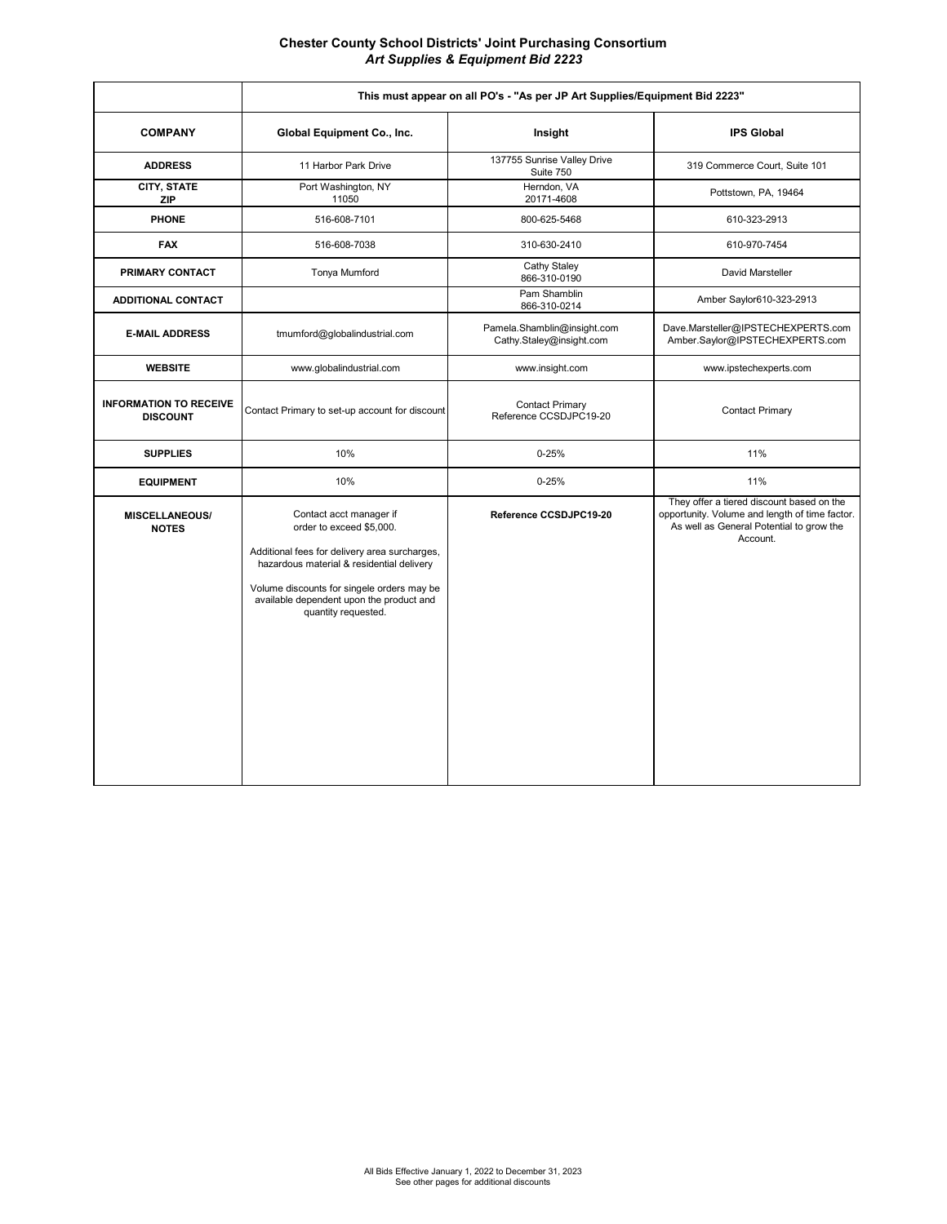**Chester County School Districts' Joint Purchasing Consortium**  *Art Supplies & Equipment Bid 2223*

|                                                  | This must appear on all PO's - "As per JP Art Supplies/Equipment Bid 2223"                                                                                                                                                                                         |                                                         |                                                                                                                                                     |
|--------------------------------------------------|--------------------------------------------------------------------------------------------------------------------------------------------------------------------------------------------------------------------------------------------------------------------|---------------------------------------------------------|-----------------------------------------------------------------------------------------------------------------------------------------------------|
| <b>COMPANY</b>                                   | Global Equipment Co., Inc.                                                                                                                                                                                                                                         | Insight                                                 | <b>IPS Global</b>                                                                                                                                   |
| <b>ADDRESS</b>                                   | 11 Harbor Park Drive                                                                                                                                                                                                                                               | 137755 Sunrise Valley Drive<br>Suite 750                | 319 Commerce Court, Suite 101                                                                                                                       |
| CITY, STATE<br><b>ZIP</b>                        | Port Washington, NY<br>11050                                                                                                                                                                                                                                       | Herndon, VA<br>20171-4608                               | Pottstown, PA, 19464                                                                                                                                |
| <b>PHONE</b>                                     | 516-608-7101                                                                                                                                                                                                                                                       | 800-625-5468                                            | 610-323-2913                                                                                                                                        |
| <b>FAX</b>                                       | 516-608-7038                                                                                                                                                                                                                                                       | 310-630-2410                                            | 610-970-7454                                                                                                                                        |
| PRIMARY CONTACT                                  | Tonya Mumford                                                                                                                                                                                                                                                      | Cathy Staley<br>866-310-0190                            | David Marsteller                                                                                                                                    |
| <b>ADDITIONAL CONTACT</b>                        |                                                                                                                                                                                                                                                                    | Pam Shamblin<br>866-310-0214                            | Amber Saylor610-323-2913                                                                                                                            |
| <b>E-MAIL ADDRESS</b>                            | tmumford@globalindustrial.com                                                                                                                                                                                                                                      | Pamela.Shamblin@insight.com<br>Cathy.Staley@insight.com | Dave.Marsteller@IPSTECHEXPERTS.com<br>Amber.Saylor@IPSTECHEXPERTS.com                                                                               |
| <b>WEBSITE</b>                                   | www.globalindustrial.com                                                                                                                                                                                                                                           | www.insight.com                                         | www.ipstechexperts.com                                                                                                                              |
| <b>INFORMATION TO RECEIVE</b><br><b>DISCOUNT</b> | Contact Primary to set-up account for discount                                                                                                                                                                                                                     | Contact Primary<br>Reference CCSDJPC19-20               | <b>Contact Primary</b>                                                                                                                              |
| <b>SUPPLIES</b>                                  | 10%                                                                                                                                                                                                                                                                | $0 - 25%$                                               | 11%                                                                                                                                                 |
| <b>EQUIPMENT</b>                                 | 10%                                                                                                                                                                                                                                                                | $0 - 25%$                                               | 11%                                                                                                                                                 |
| <b>MISCELLANEOUS/</b><br><b>NOTES</b>            | Contact acct manager if<br>order to exceed \$5,000.<br>Additional fees for delivery area surcharges,<br>hazardous material & residential delivery<br>Volume discounts for singele orders may be<br>available dependent upon the product and<br>quantity requested. | Reference CCSDJPC19-20                                  | They offer a tiered discount based on the<br>opportunity. Volume and length of time factor.<br>As well as General Potential to grow the<br>Account. |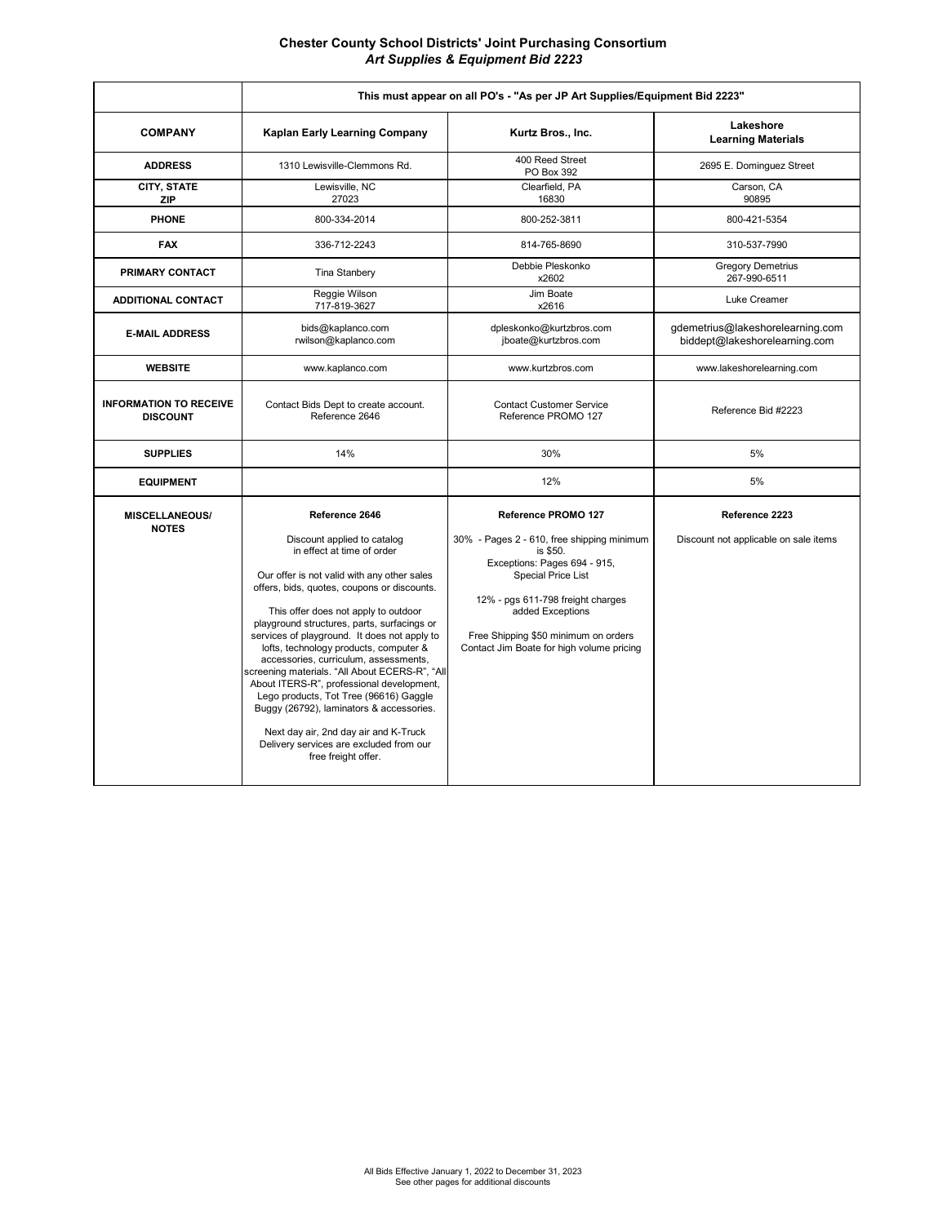**Chester County School Districts' Joint Purchasing Consortium**  *Art Supplies & Equipment Bid 2223*

|                                                  | This must appear on all PO's - "As per JP Art Supplies/Equipment Bid 2223"                                                                                                                                                                                                                                                                                                                                                                                                                                                                                                                                                                                                                          |                                                                                                                                                                                                                                                                                          |                                                                   |
|--------------------------------------------------|-----------------------------------------------------------------------------------------------------------------------------------------------------------------------------------------------------------------------------------------------------------------------------------------------------------------------------------------------------------------------------------------------------------------------------------------------------------------------------------------------------------------------------------------------------------------------------------------------------------------------------------------------------------------------------------------------------|------------------------------------------------------------------------------------------------------------------------------------------------------------------------------------------------------------------------------------------------------------------------------------------|-------------------------------------------------------------------|
| <b>COMPANY</b>                                   | Kaplan Early Learning Company                                                                                                                                                                                                                                                                                                                                                                                                                                                                                                                                                                                                                                                                       | Kurtz Bros., Inc.                                                                                                                                                                                                                                                                        | Lakeshore<br><b>Learning Materials</b>                            |
| <b>ADDRESS</b>                                   | 1310 Lewisville-Clemmons Rd.                                                                                                                                                                                                                                                                                                                                                                                                                                                                                                                                                                                                                                                                        | 400 Reed Street<br>PO Box 392                                                                                                                                                                                                                                                            | 2695 E. Dominguez Street                                          |
| CITY, STATE<br><b>ZIP</b>                        | Lewisville, NC<br>27023                                                                                                                                                                                                                                                                                                                                                                                                                                                                                                                                                                                                                                                                             | Clearfield, PA<br>16830                                                                                                                                                                                                                                                                  | Carson, CA<br>90895                                               |
| <b>PHONE</b>                                     | 800-334-2014                                                                                                                                                                                                                                                                                                                                                                                                                                                                                                                                                                                                                                                                                        | 800-252-3811                                                                                                                                                                                                                                                                             | 800-421-5354                                                      |
| <b>FAX</b>                                       | 336-712-2243                                                                                                                                                                                                                                                                                                                                                                                                                                                                                                                                                                                                                                                                                        | 814-765-8690                                                                                                                                                                                                                                                                             | 310-537-7990                                                      |
| PRIMARY CONTACT                                  | Tina Stanbery                                                                                                                                                                                                                                                                                                                                                                                                                                                                                                                                                                                                                                                                                       | Debbie Pleskonko<br>x2602                                                                                                                                                                                                                                                                | <b>Gregory Demetrius</b><br>267-990-6511                          |
| <b>ADDITIONAL CONTACT</b>                        | Reggie Wilson<br>717-819-3627                                                                                                                                                                                                                                                                                                                                                                                                                                                                                                                                                                                                                                                                       | Jim Boate<br>x2616                                                                                                                                                                                                                                                                       | Luke Creamer                                                      |
| <b>E-MAIL ADDRESS</b>                            | bids@kaplanco.com<br>rwilson@kaplanco.com                                                                                                                                                                                                                                                                                                                                                                                                                                                                                                                                                                                                                                                           | dpleskonko@kurtzbros.com<br>jboate@kurtzbros.com                                                                                                                                                                                                                                         | gdemetrius@lakeshorelearning.com<br>biddept@lakeshorelearning.com |
| <b>WEBSITE</b>                                   | www.kaplanco.com                                                                                                                                                                                                                                                                                                                                                                                                                                                                                                                                                                                                                                                                                    | www.kurtzbros.com                                                                                                                                                                                                                                                                        | www.lakeshorelearning.com                                         |
| <b>INFORMATION TO RECEIVE</b><br><b>DISCOUNT</b> | Contact Bids Dept to create account.<br>Reference 2646                                                                                                                                                                                                                                                                                                                                                                                                                                                                                                                                                                                                                                              | <b>Contact Customer Service</b><br>Reference PROMO 127                                                                                                                                                                                                                                   | Reference Bid #2223                                               |
| <b>SUPPLIES</b>                                  | 14%                                                                                                                                                                                                                                                                                                                                                                                                                                                                                                                                                                                                                                                                                                 | 30%                                                                                                                                                                                                                                                                                      | 5%                                                                |
| <b>EQUIPMENT</b>                                 |                                                                                                                                                                                                                                                                                                                                                                                                                                                                                                                                                                                                                                                                                                     | 12%                                                                                                                                                                                                                                                                                      | 5%                                                                |
| <b>MISCELLANEOUS/</b><br><b>NOTES</b>            | Reference 2646<br>Discount applied to catalog<br>in effect at time of order<br>Our offer is not valid with any other sales<br>offers, bids, quotes, coupons or discounts.<br>This offer does not apply to outdoor<br>playground structures, parts, surfacings or<br>services of playground. It does not apply to<br>lofts, technology products, computer &<br>accessories, curriculum, assessments,<br>screening materials. "All About ECERS-R", "All<br>About ITERS-R", professional development,<br>Lego products, Tot Tree (96616) Gaggle<br>Buggy (26792), laminators & accessories.<br>Next day air, 2nd day air and K-Truck<br>Delivery services are excluded from our<br>free freight offer. | Reference PROMO 127<br>30% - Pages 2 - 610, free shipping minimum<br>is \$50.<br>Exceptions: Pages 694 - 915,<br><b>Special Price List</b><br>12% - pgs 611-798 freight charges<br>added Exceptions<br>Free Shipping \$50 minimum on orders<br>Contact Jim Boate for high volume pricing | Reference 2223<br>Discount not applicable on sale items           |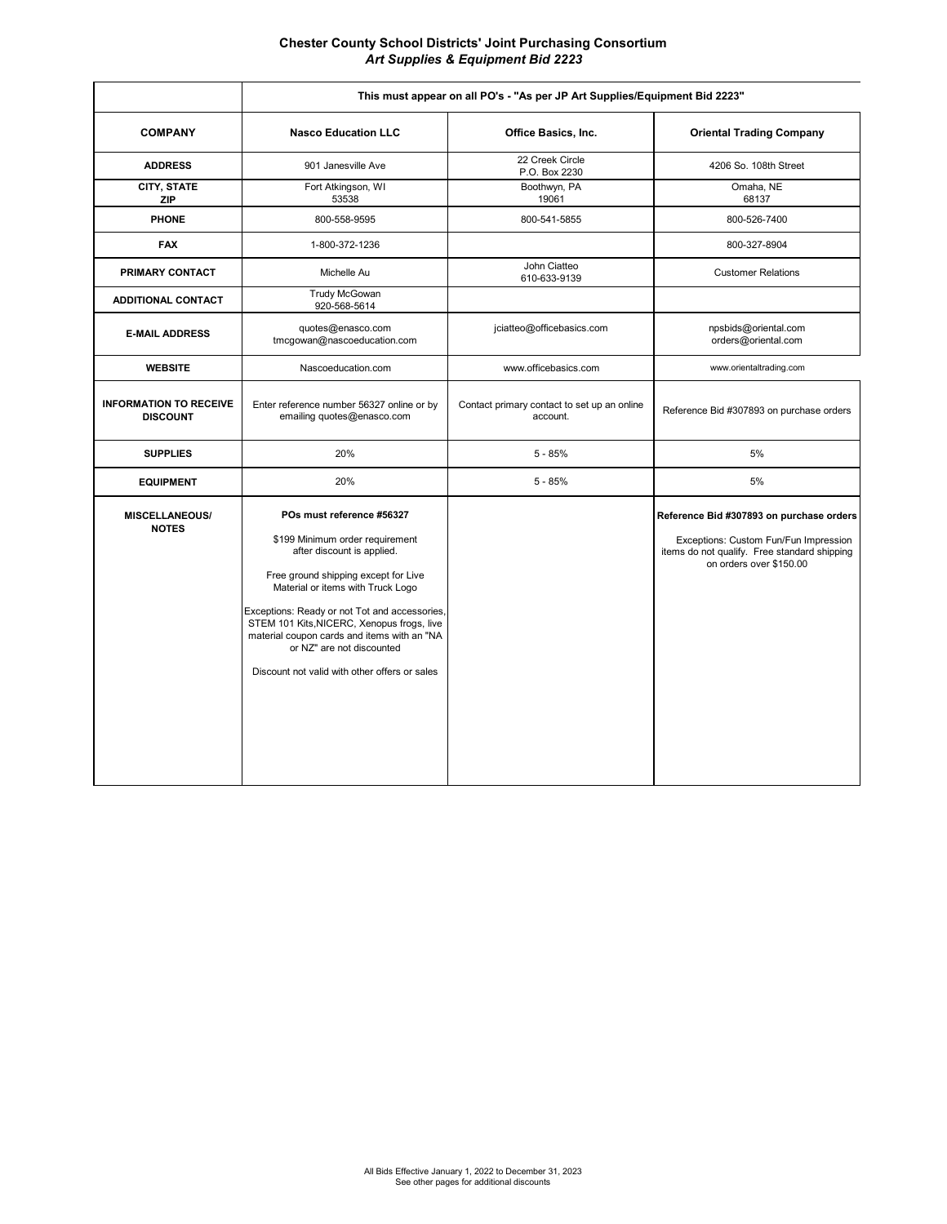**Chester County School Districts' Joint Purchasing Consortium**  *Art Supplies & Equipment Bid 2223*

|                                                  | This must appear on all PO's - "As per JP Art Supplies/Equipment Bid 2223"                                                                                                                                                                                                                                                                                                                          |                                                         |                                                                                                                                                              |
|--------------------------------------------------|-----------------------------------------------------------------------------------------------------------------------------------------------------------------------------------------------------------------------------------------------------------------------------------------------------------------------------------------------------------------------------------------------------|---------------------------------------------------------|--------------------------------------------------------------------------------------------------------------------------------------------------------------|
| <b>COMPANY</b>                                   | <b>Nasco Education LLC</b>                                                                                                                                                                                                                                                                                                                                                                          | Office Basics, Inc.                                     | <b>Oriental Trading Company</b>                                                                                                                              |
| <b>ADDRESS</b>                                   | 901 Janesville Ave                                                                                                                                                                                                                                                                                                                                                                                  | 22 Creek Circle<br>P.O. Box 2230                        | 4206 So. 108th Street                                                                                                                                        |
| CITY, STATE<br><b>ZIP</b>                        | Fort Atkingson, WI<br>53538                                                                                                                                                                                                                                                                                                                                                                         | Boothwyn, PA<br>19061                                   | Omaha, NE<br>68137                                                                                                                                           |
| <b>PHONE</b>                                     | 800-558-9595                                                                                                                                                                                                                                                                                                                                                                                        | 800-541-5855                                            | 800-526-7400                                                                                                                                                 |
| <b>FAX</b>                                       | 1-800-372-1236                                                                                                                                                                                                                                                                                                                                                                                      |                                                         | 800-327-8904                                                                                                                                                 |
| PRIMARY CONTACT                                  | Michelle Au                                                                                                                                                                                                                                                                                                                                                                                         | John Ciatteo<br>610-633-9139                            | <b>Customer Relations</b>                                                                                                                                    |
| <b>ADDITIONAL CONTACT</b>                        | <b>Trudy McGowan</b><br>920-568-5614                                                                                                                                                                                                                                                                                                                                                                |                                                         |                                                                                                                                                              |
| <b>E-MAIL ADDRESS</b>                            | quotes@enasco.com<br>tmcgowan@nascoeducation.com                                                                                                                                                                                                                                                                                                                                                    | jciatteo@officebasics.com                               | npsbids@oriental.com<br>orders@oriental.com                                                                                                                  |
| <b>WEBSITE</b>                                   | Nascoeducation.com                                                                                                                                                                                                                                                                                                                                                                                  | www.officebasics.com                                    | www.orientaltrading.com                                                                                                                                      |
| <b>INFORMATION TO RECEIVE</b><br><b>DISCOUNT</b> | Enter reference number 56327 online or by<br>emailing quotes@enasco.com                                                                                                                                                                                                                                                                                                                             | Contact primary contact to set up an online<br>account. | Reference Bid #307893 on purchase orders                                                                                                                     |
| <b>SUPPLIES</b>                                  | 20%                                                                                                                                                                                                                                                                                                                                                                                                 | $5 - 85%$                                               | 5%                                                                                                                                                           |
| <b>EQUIPMENT</b>                                 | 20%                                                                                                                                                                                                                                                                                                                                                                                                 | $5 - 85%$                                               | 5%                                                                                                                                                           |
| <b>MISCELLANEOUS/</b><br><b>NOTES</b>            | POs must reference #56327<br>\$199 Minimum order requirement<br>after discount is applied.<br>Free ground shipping except for Live<br>Material or items with Truck Logo<br>Exceptions: Ready or not Tot and accessories,<br>STEM 101 Kits, NICERC, Xenopus frogs, live<br>material coupon cards and items with an "NA<br>or NZ" are not discounted<br>Discount not valid with other offers or sales |                                                         | Reference Bid #307893 on purchase orders<br>Exceptions: Custom Fun/Fun Impression<br>items do not qualify. Free standard shipping<br>on orders over \$150.00 |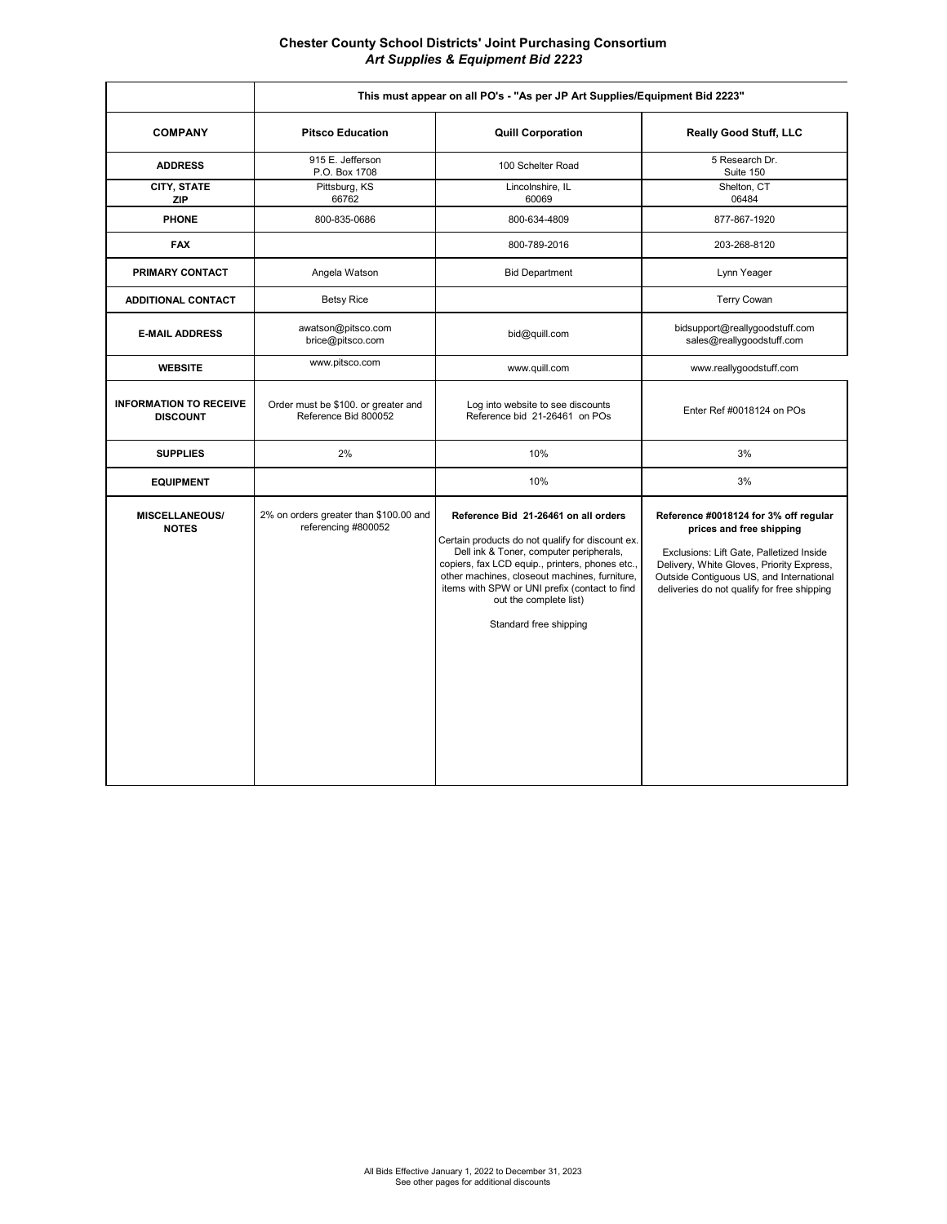**Chester County School Districts' Joint Purchasing Consortium**  *Art Supplies & Equipment Bid 2223*

|                                                  | This must appear on all PO's - "As per JP Art Supplies/Equipment Bid 2223" |                                                                                                                                                                                                                                                                                                                                              |                                                                                                                                                                                                                                                       |
|--------------------------------------------------|----------------------------------------------------------------------------|----------------------------------------------------------------------------------------------------------------------------------------------------------------------------------------------------------------------------------------------------------------------------------------------------------------------------------------------|-------------------------------------------------------------------------------------------------------------------------------------------------------------------------------------------------------------------------------------------------------|
| <b>COMPANY</b>                                   | <b>Pitsco Education</b>                                                    | <b>Quill Corporation</b>                                                                                                                                                                                                                                                                                                                     | <b>Really Good Stuff, LLC</b>                                                                                                                                                                                                                         |
| <b>ADDRESS</b>                                   | 915 E. Jefferson<br>P.O. Box 1708                                          | 100 Schelter Road                                                                                                                                                                                                                                                                                                                            | 5 Research Dr.<br>Suite 150                                                                                                                                                                                                                           |
| CITY, STATE<br><b>ZIP</b>                        | Pittsburg, KS<br>66762                                                     | Lincolnshire, IL<br>60069                                                                                                                                                                                                                                                                                                                    | Shelton, CT<br>06484                                                                                                                                                                                                                                  |
| <b>PHONE</b>                                     | 800-835-0686                                                               | 800-634-4809                                                                                                                                                                                                                                                                                                                                 | 877-867-1920                                                                                                                                                                                                                                          |
| <b>FAX</b>                                       |                                                                            | 800-789-2016                                                                                                                                                                                                                                                                                                                                 | 203-268-8120                                                                                                                                                                                                                                          |
| PRIMARY CONTACT                                  | Angela Watson                                                              | <b>Bid Department</b>                                                                                                                                                                                                                                                                                                                        | Lynn Yeager                                                                                                                                                                                                                                           |
| <b>ADDITIONAL CONTACT</b>                        | <b>Betsy Rice</b>                                                          |                                                                                                                                                                                                                                                                                                                                              | Terry Cowan                                                                                                                                                                                                                                           |
| <b>E-MAIL ADDRESS</b>                            | awatson@pitsco.com<br>brice@pitsco.com                                     | bid@quill.com                                                                                                                                                                                                                                                                                                                                | bidsupport@reallygoodstuff.com<br>sales@reallygoodstuff.com                                                                                                                                                                                           |
| <b>WEBSITE</b>                                   | www.pitsco.com                                                             | www.quill.com                                                                                                                                                                                                                                                                                                                                | www.reallygoodstuff.com                                                                                                                                                                                                                               |
| <b>INFORMATION TO RECEIVE</b><br><b>DISCOUNT</b> | Order must be \$100. or greater and<br>Reference Bid 800052                | Log into website to see discounts<br>Reference bid 21-26461 on POs                                                                                                                                                                                                                                                                           | Enter Ref #0018124 on POs                                                                                                                                                                                                                             |
| <b>SUPPLIES</b>                                  | 2%                                                                         | 10%                                                                                                                                                                                                                                                                                                                                          | 3%                                                                                                                                                                                                                                                    |
| <b>EQUIPMENT</b>                                 |                                                                            | 10%                                                                                                                                                                                                                                                                                                                                          | 3%                                                                                                                                                                                                                                                    |
| <b>MISCELLANEOUS/</b><br><b>NOTES</b>            | 2% on orders greater than \$100.00 and<br>referencing #800052              | Reference Bid 21-26461 on all orders<br>Certain products do not qualify for discount ex.<br>Dell ink & Toner, computer peripherals,<br>copiers, fax LCD equip., printers, phones etc.,<br>other machines, closeout machines, furniture,<br>items with SPW or UNI prefix (contact to find<br>out the complete list)<br>Standard free shipping | Reference #0018124 for 3% off regular<br>prices and free shipping<br>Exclusions: Lift Gate, Palletized Inside<br>Delivery, White Gloves, Priority Express,<br>Outside Contiguous US, and International<br>deliveries do not qualify for free shipping |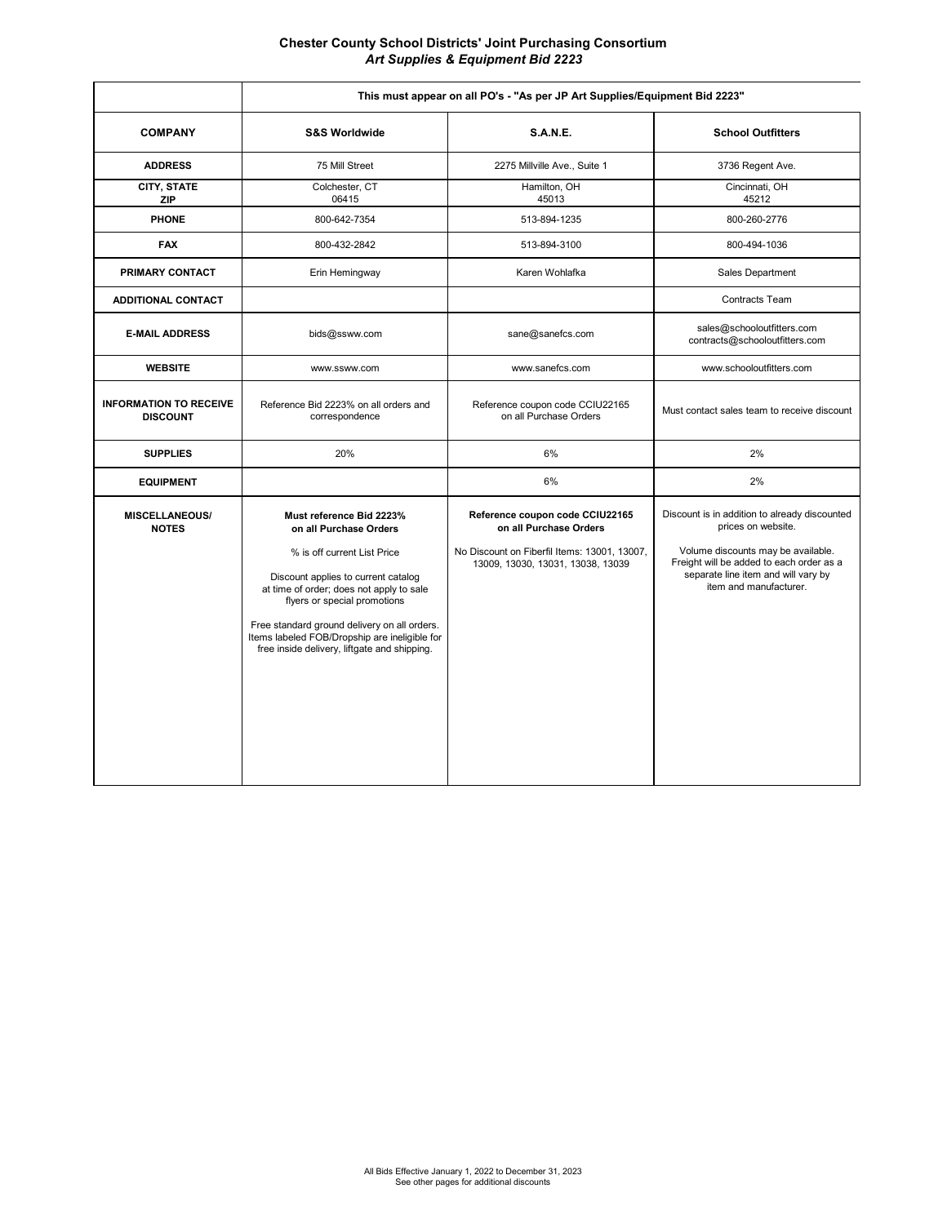**Chester County School Districts' Joint Purchasing Consortium**  *Art Supplies & Equipment Bid 2223*

|                                                  | This must appear on all PO's - "As per JP Art Supplies/Equipment Bid 2223"                                                                                                                                                                                                                                                                            |                                                                                                                                                |                                                                                                                                                                                                                        |
|--------------------------------------------------|-------------------------------------------------------------------------------------------------------------------------------------------------------------------------------------------------------------------------------------------------------------------------------------------------------------------------------------------------------|------------------------------------------------------------------------------------------------------------------------------------------------|------------------------------------------------------------------------------------------------------------------------------------------------------------------------------------------------------------------------|
| <b>COMPANY</b>                                   | <b>S&amp;S Worldwide</b>                                                                                                                                                                                                                                                                                                                              | <b>S.A.N.E.</b>                                                                                                                                | <b>School Outfitters</b>                                                                                                                                                                                               |
| <b>ADDRESS</b>                                   | 75 Mill Street                                                                                                                                                                                                                                                                                                                                        | 2275 Millville Ave., Suite 1                                                                                                                   | 3736 Regent Ave.                                                                                                                                                                                                       |
| CITY, STATE<br><b>ZIP</b>                        | Colchester, CT<br>06415                                                                                                                                                                                                                                                                                                                               | Hamilton, OH<br>45013                                                                                                                          | Cincinnati, OH<br>45212                                                                                                                                                                                                |
| <b>PHONE</b>                                     | 800-642-7354                                                                                                                                                                                                                                                                                                                                          | 513-894-1235                                                                                                                                   | 800-260-2776                                                                                                                                                                                                           |
| <b>FAX</b>                                       | 800-432-2842                                                                                                                                                                                                                                                                                                                                          | 513-894-3100                                                                                                                                   | 800-494-1036                                                                                                                                                                                                           |
| PRIMARY CONTACT                                  | Erin Hemingway                                                                                                                                                                                                                                                                                                                                        | Karen Wohlafka                                                                                                                                 | Sales Department                                                                                                                                                                                                       |
| <b>ADDITIONAL CONTACT</b>                        |                                                                                                                                                                                                                                                                                                                                                       |                                                                                                                                                | Contracts Team                                                                                                                                                                                                         |
| <b>E-MAIL ADDRESS</b>                            | bids@ssww.com                                                                                                                                                                                                                                                                                                                                         | sane@sanefcs.com                                                                                                                               | sales@schooloutfitters.com<br>contracts@schooloutfitters.com                                                                                                                                                           |
| <b>WEBSITE</b>                                   | www.ssww.com                                                                                                                                                                                                                                                                                                                                          | www.sanefcs.com                                                                                                                                | www.schooloutfitters.com                                                                                                                                                                                               |
| <b>INFORMATION TO RECEIVE</b><br><b>DISCOUNT</b> | Reference Bid 2223% on all orders and<br>correspondence                                                                                                                                                                                                                                                                                               | Reference coupon code CCIU22165<br>on all Purchase Orders                                                                                      | Must contact sales team to receive discount                                                                                                                                                                            |
| <b>SUPPLIES</b>                                  | 20%                                                                                                                                                                                                                                                                                                                                                   | 6%                                                                                                                                             | 2%                                                                                                                                                                                                                     |
| <b>EQUIPMENT</b>                                 |                                                                                                                                                                                                                                                                                                                                                       | 6%                                                                                                                                             | 2%                                                                                                                                                                                                                     |
| <b>MISCELLANEOUS/</b><br><b>NOTES</b>            | Must reference Bid 2223%<br>on all Purchase Orders<br>% is off current List Price<br>Discount applies to current catalog<br>at time of order; does not apply to sale<br>flyers or special promotions<br>Free standard ground delivery on all orders.<br>Items labeled FOB/Dropship are ineligible for<br>free inside delivery, liftgate and shipping. | Reference coupon code CCIU22165<br>on all Purchase Orders<br>No Discount on Fiberfil Items: 13001, 13007,<br>13009, 13030, 13031, 13038, 13039 | Discount is in addition to already discounted<br>prices on website.<br>Volume discounts may be available.<br>Freight will be added to each order as a<br>separate line item and will vary by<br>item and manufacturer. |